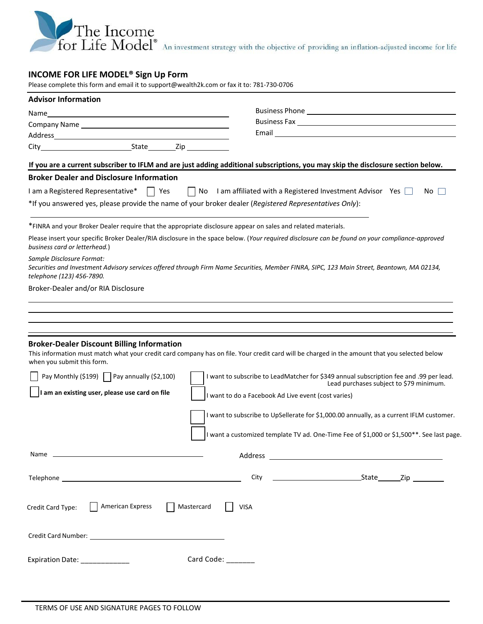

# **INCOME FOR LIFE MODEL® Sign Up Form**

Please complete this form and email it t[o support@wealth2k.com o](mailto:support@wealth2k.com)r fax it to: 781-730-0706

| <b>Advisor Information</b>                                                                                             |                                                                                                                                                 |
|------------------------------------------------------------------------------------------------------------------------|-------------------------------------------------------------------------------------------------------------------------------------------------|
| Name                                                                                                                   |                                                                                                                                                 |
|                                                                                                                        |                                                                                                                                                 |
|                                                                                                                        |                                                                                                                                                 |
|                                                                                                                        |                                                                                                                                                 |
|                                                                                                                        | If you are a current subscriber to IFLM and are just adding additional subscriptions, you may skip the disclosure section below.                |
| <b>Broker Dealer and Disclosure Information</b>                                                                        |                                                                                                                                                 |
| I am a Registered Representative* $\Box$ Yes $\Box$ No I am affiliated with a Registered Investment Advisor Yes $\Box$ | No.                                                                                                                                             |
| *If you answered yes, please provide the name of your broker dealer (Registered Representatives Only):                 |                                                                                                                                                 |
| *FINRA and your Broker Dealer require that the appropriate disclosure appear on sales and related materials.           |                                                                                                                                                 |
| business card or letterhead.)                                                                                          | Please insert your specific Broker Dealer/RIA disclosure in the space below. (Your required disclosure can be found on your compliance-approved |
| Sample Disclosure Format:<br>telephone (123) 456-7890.                                                                 | Securities and Investment Advisory services offered through Firm Name Securities, Member FINRA, SIPC, 123 Main Street, Beantown, MA 02134,      |
| Broker-Dealer and/or RIA Disclosure                                                                                    |                                                                                                                                                 |
|                                                                                                                        |                                                                                                                                                 |
|                                                                                                                        |                                                                                                                                                 |
|                                                                                                                        |                                                                                                                                                 |
| <b>Broker-Dealer Discount Billing Information</b><br>when you submit this form.                                        | This information must match what your credit card company has on file. Your credit card will be charged in the amount that you selected below   |
| Pay Monthly (\$199) $\Box$ Pay annually (\$2,100)                                                                      | I want to subscribe to LeadMatcher for \$349 annual subscription fee and .99 per lead.<br>Lead purchases subject to \$79 minimum.               |
| am an existing user, please use card on file                                                                           | I want to do a Facebook Ad Live event (cost varies)                                                                                             |
|                                                                                                                        | I want to subscribe to UpSellerate for \$1,000.00 annually, as a current IFLM customer.                                                         |
|                                                                                                                        | I want a customized template TV ad. One-Time Fee of \$1,000 or \$1,500**. See last page.                                                        |
|                                                                                                                        |                                                                                                                                                 |
|                                                                                                                        |                                                                                                                                                 |
| American Express<br>Mastercard<br>Credit Card Type:                                                                    | <b>VISA</b>                                                                                                                                     |
|                                                                                                                        |                                                                                                                                                 |
| Expiration Date: ______________<br>Card Code: _______                                                                  |                                                                                                                                                 |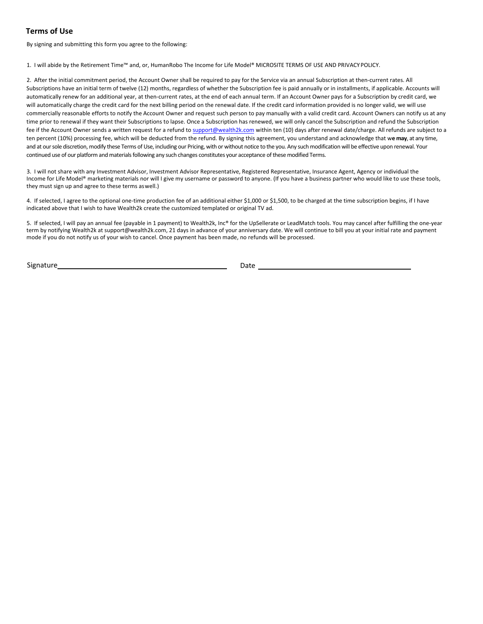### **Terms of Use**

By signing and submitting this form you agree to the following:

1. I will abide by the Retirement Time™ and, or, HumanRobo The Income for Life Model® MICROSITE TERMS OF USE AND PRIVACYPOLICY.

2. After the initial commitment period, the Account Owner shall be required to pay for the Service via an annual Subscription at then-current rates. All Subscriptions have an initial term of twelve (12) months, regardless of whether the Subscription fee is paid annually or in installments, if applicable. Accounts will automatically renew for an additional year, at then-current rates, at the end of each annual term. If an Account Owner pays for a Subscription by credit card, we will automatically charge the credit card for the next billing period on the renewal date. If the credit card information provided is no longer valid, we will use commercially reasonable efforts to notify the Account Owner and request such person to pay manually with a valid credit card. Account Owners can notify us at any time prior to renewal if they want their Subscriptions to lapse. Once a Subscription has renewed, we will only cancel the Subscription and refund the Subscription fee if the Account Owner sends a written request for a refund to support@wealth2k.com within ten (10) days after renewal date/charge. All refunds are subject to a ten percent (10%) processing fee, which will be deducted from the refund. By signing this agreement, you understand and acknowledge that w**e may**, at any time, and at our sole discretion, modify these Terms of Use, including our Pricing, with or without notice to the you. Any such modification will be effective upon renewal. Your continued use of our platform and materials following any such changes constitutes your acceptance of these modified Terms.

3. I will not share with any Investment Advisor, Investment Advisor Representative, Registered Representative, Insurance Agent, Agency or individual the Income for Life Model® marketing materials nor will I give my username or password to anyone. (If you have a business partner who would like to use these tools, they must sign up and agree to these terms aswell.)

4. If selected, I agree to the optional one-time production fee of an additional either \$1,000 or \$1,500, to be charged at the time subscription begins, if I have indicated above that I wish to have Wealth2k create the customized templated or original TV ad.

5. If selected, I will pay an annual fee (payable in 1 payment) to Wealth2k, Inc® for the UpSellerate or LeadMatch tools. You may cancel after fulfilling the one-year term by notifying Wealth2k at support@wealth2k.com, 21 days in advance of your anniversary date. We will continue to bill you at your initial rate and payment mode if you do not notify us of your wish to cancel. Once payment has been made, no refunds will be processed.

Signature Date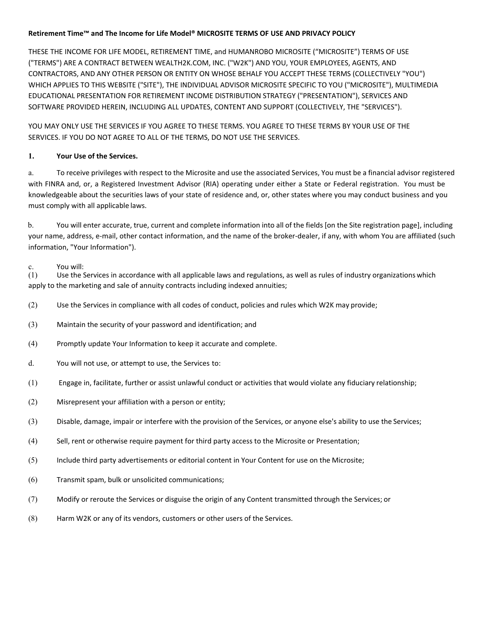### **Retirement Time™ and The Income for Life Model® MICROSITE TERMS OF USE AND PRIVACY POLICY**

THESE THE INCOME FOR LIFE MODEL, RETIREMENT TIME, and HUMANROBO MICROSITE ("MICROSITE") TERMS OF USE ("TERMS") ARE A CONTRACT BETWEEN WEALTH2K.COM, INC. ("W2K") AND YOU, YOUR EMPLOYEES, AGENTS, AND CONTRACTORS, AND ANY OTHER PERSON OR ENTITY ON WHOSE BEHALF YOU ACCEPT THESE TERMS (COLLECTIVELY "YOU") WHICH APPLIES TO THIS WEBSITE ("SITE"), THE INDIVIDUAL ADVISOR MICROSITE SPECIFIC TO YOU ("MICROSITE"), MULTIMEDIA EDUCATIONAL PRESENTATION FOR RETIREMENT INCOME DISTRIBUTION STRATEGY ("PRESENTATION"), SERVICES AND SOFTWARE PROVIDED HEREIN, INCLUDING ALL UPDATES, CONTENT AND SUPPORT (COLLECTIVELY, THE "SERVICES").

YOU MAY ONLY USE THE SERVICES IF YOU AGREE TO THESE TERMS. YOU AGREE TO THESE TERMS BY YOUR USE OF THE SERVICES. IF YOU DO NOT AGREE TO ALL OF THE TERMS, DO NOT USE THE SERVICES.

# **1. Your Use of the Services.**

a. To receive privileges with respect to the Microsite and use the associated Services, You must be a financial advisor registered with FINRA and, or, a Registered Investment Advisor (RIA) operating under either a State or Federal registration. You must be knowledgeable about the securities laws of your state of residence and, or, other states where you may conduct business and you must comply with all applicable laws.

b. You will enter accurate, true, current and complete information into all of the fields [on the Site registration page], including your name, address, e-mail, other contact information, and the name of the broker-dealer, if any, with whom You are affiliated (such information, "Your Information").

### c. You will:

(1) Use the Services in accordance with all applicable laws and regulations, as well as rules of industry organizations which apply to the marketing and sale of annuity contracts including indexed annuities;

- (2) Use the Services in compliance with all codes of conduct, policies and rules which W2K may provide;
- (3) Maintain the security of your password and identification; and
- (4) Promptly update Your Information to keep it accurate and complete.
- d. You will not use, or attempt to use, the Services to:
- (1) Engage in, facilitate, further or assist unlawful conduct or activities that would violate any fiduciary relationship;
- (2) Misrepresent your affiliation with a person or entity;
- (3) Disable, damage, impair or interfere with the provision of the Services, or anyone else's ability to use the Services;
- (4) Sell, rent or otherwise require payment for third party access to the Microsite or Presentation;
- (5) Include third party advertisements or editorial content in Your Content for use on the Microsite;
- (6) Transmit spam, bulk or unsolicited communications;
- (7) Modify or reroute the Services or disguise the origin of any Content transmitted through the Services; or
- (8) Harm W2K or any of its vendors, customers or other users of the Services.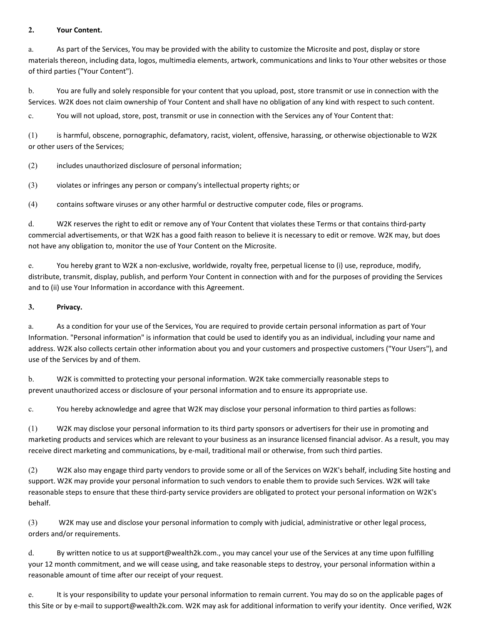### **2. Your Content.**

a. As part of the Services, You may be provided with the ability to customize the Microsite and post, display or store materials thereon, including data, logos, multimedia elements, artwork, communications and links to Your other websites or those of third parties ("Your Content").

b. You are fully and solely responsible for your content that you upload, post, store transmit or use in connection with the Services. W2K does not claim ownership of Your Content and shall have no obligation of any kind with respect to such content.

c. You will not upload, store, post, transmit or use in connection with the Services any of Your Content that:

(1) is harmful, obscene, pornographic, defamatory, racist, violent, offensive, harassing, or otherwise objectionable to W2K or other users of the Services;

(2) includes unauthorized disclosure of personal information;

(3) violates or infringes any person or company's intellectual property rights; or

(4) contains software viruses or any other harmful or destructive computer code, files or programs.

d. W2K reserves the right to edit or remove any of Your Content that violates these Terms or that contains third-party commercial advertisements, or that W2K has a good faith reason to believe it is necessary to edit or remove. W2K may, but does not have any obligation to, monitor the use of Your Content on the Microsite.

e. You hereby grant to W2K a non-exclusive, worldwide, royalty free, perpetual license to (i) use, reproduce, modify, distribute, transmit, display, publish, and perform Your Content in connection with and for the purposes of providing the Services and to (ii) use Your Information in accordance with this Agreement.

### **3. Privacy.**

a. As a condition for your use of the Services, You are required to provide certain personal information as part of Your Information. "Personal information" is information that could be used to identify you as an individual, including your name and address. W2K also collects certain other information about you and your customers and prospective customers ("Your Users"), and use of the Services by and of them.

b. W2K is committed to protecting your personal information. W2K take commercially reasonable steps to prevent unauthorized access or disclosure of your personal information and to ensure its appropriate use.

c. You hereby acknowledge and agree that W2K may disclose your personal information to third parties asfollows:

(1) W2K may disclose your personal information to its third party sponsors or advertisers for their use in promoting and marketing products and services which are relevant to your business as an insurance licensed financial advisor. As a result, you may receive direct marketing and communications, by e-mail, traditional mail or otherwise, from such third parties.

(2) W2K also may engage third party vendors to provide some or all of the Services on W2K's behalf, including Site hosting and support. W2K may provide your personal information to such vendors to enable them to provide such Services. W2K will take reasonable steps to ensure that these third-party service providers are obligated to protect your personal information on W2K's behalf.

(3) W2K may use and disclose your personal information to comply with judicial, administrative or other legal process, orders and/or requirements.

d. By written notice to us at support@wealth2k.com., you may cancel your use of the Services at any time upon fulfilling your 12 month commitment, and we will cease using, and take reasonable steps to destroy, your personal information within a reasonable amount of time after our receipt of your request.

e. It is your responsibility to update your personal information to remain current. You may do so on the applicable pages of this Site or by e-mail to support@wealth2k.com. W2K may ask for additional information to verify your identity. Once verified, W2K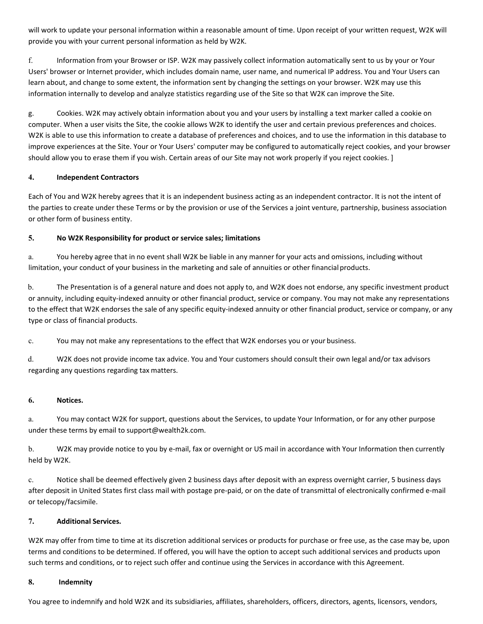will work to update your personal information within a reasonable amount of time. Upon receipt of your written request, W2K will provide you with your current personal information as held by W2K.

f. Information from your Browser or ISP. W2K may passively collect information automatically sent to us by your or Your Users' browser or Internet provider, which includes domain name, user name, and numerical IP address. You and Your Users can learn about, and change to some extent, the information sent by changing the settings on your browser. W2K may use this information internally to develop and analyze statistics regarding use of the Site so that W2K can improve the Site.

g. Cookies. W2K may actively obtain information about you and your users by installing a text marker called a cookie on computer. When a user visits the Site, the cookie allows W2K to identify the user and certain previous preferences and choices. W2K is able to use this information to create a database of preferences and choices, and to use the information in this database to improve experiences at the Site. Your or Your Users' computer may be configured to automatically reject cookies, and your browser should allow you to erase them if you wish. Certain areas of our Site may not work properly if you reject cookies. ]

### **4. Independent Contractors**

Each of You and W2K hereby agrees that it is an independent business acting as an independent contractor. It is not the intent of the parties to create under these Terms or by the provision or use of the Services a joint venture, partnership, business association or other form of business entity.

### **5. No W2K Responsibility for product or service sales; limitations**

a. You hereby agree that in no event shall W2K be liable in any manner for your acts and omissions, including without limitation, your conduct of your business in the marketing and sale of annuities or other financial products.

b. The Presentation is of a general nature and does not apply to, and W2K does not endorse, any specific investment product or annuity, including equity-indexed annuity or other financial product, service or company. You may not make any representations to the effect that W2K endorses the sale of any specific equity-indexed annuity or other financial product, service or company, or any type or class of financial products.

c. You may not make any representations to the effect that W2K endorses you or your business.

d. W2K does not provide income tax advice. You and Your customers should consult their own legal and/or tax advisors regarding any questions regarding tax matters.

### **6. Notices.**

a. You may contact W2K for support, questions about the Services, to update Your Information, or for any other purpose under these terms by email to support@wealth2k.com.

b. W2K may provide notice to you by e-mail, fax or overnight or US mail in accordance with Your Information then currently held by W2K.

c. Notice shall be deemed effectively given 2 business days after deposit with an express overnight carrier, 5 business days after deposit in United States first class mail with postage pre-paid, or on the date of transmittal of electronically confirmed e-mail or telecopy/facsimile.

### **7. Additional Services.**

W2K may offer from time to time at its discretion additional services or products for purchase or free use, as the case may be, upon terms and conditions to be determined. If offered, you will have the option to accept such additional services and products upon such terms and conditions, or to reject such offer and continue using the Services in accordance with this Agreement.

### **8. Indemnity**

You agree to indemnify and hold W2K and its subsidiaries, affiliates, shareholders, officers, directors, agents, licensors, vendors,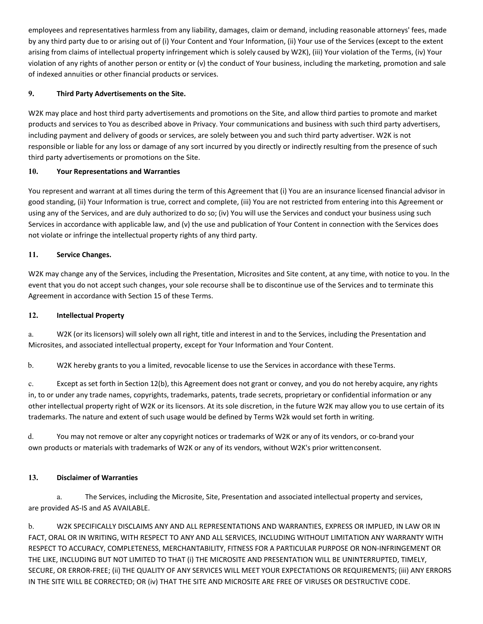employees and representatives harmless from any liability, damages, claim or demand, including reasonable attorneys' fees, made by any third party due to or arising out of (i) Your Content and Your Information, (ii) Your use of the Services (except to the extent arising from claims of intellectual property infringement which is solely caused by W2K), (iii) Your violation of the Terms, (iv) Your violation of any rights of another person or entity or (v) the conduct of Your business, including the marketing, promotion and sale of indexed annuities or other financial products or services.

# **9. Third Party Advertisements on the Site.**

W2K may place and host third party advertisements and promotions on the Site, and allow third parties to promote and market products and services to You as described above in Privacy. Your communications and business with such third party advertisers, including payment and delivery of goods or services, are solely between you and such third party advertiser. W2K is not responsible or liable for any loss or damage of any sort incurred by you directly or indirectly resulting from the presence of such third party advertisements or promotions on the Site.

# **10. Your Representations and Warranties**

You represent and warrant at all times during the term of this Agreement that (i) You are an insurance licensed financial advisor in good standing, (ii) Your Information is true, correct and complete, (iii) You are not restricted from entering into this Agreement or using any of the Services, and are duly authorized to do so; (iv) You will use the Services and conduct your business using such Services in accordance with applicable law, and (v) the use and publication of Your Content in connection with the Services does not violate or infringe the intellectual property rights of any third party.

# **11. Service Changes.**

W2K may change any of the Services, including the Presentation, Microsites and Site content, at any time, with notice to you. In the event that you do not accept such changes, your sole recourse shall be to discontinue use of the Services and to terminate this Agreement in accordance with Section 15 of these Terms.

# **12. Intellectual Property**

a. W2K (or its licensors) will solely own all right, title and interest in and to the Services, including the Presentation and Microsites, and associated intellectual property, except for Your Information and Your Content.

b. W2K hereby grants to you a limited, revocable license to use the Services in accordance with these Terms.

c. Except as set forth in Section 12(b), this Agreement does not grant or convey, and you do not hereby acquire, any rights in, to or under any trade names, copyrights, trademarks, patents, trade secrets, proprietary or confidential information or any other intellectual property right of W2K or its licensors. At its sole discretion, in the future W2K may allow you to use certain of its trademarks. The nature and extent of such usage would be defined by Terms W2k would set forth in writing.

d. You may not remove or alter any copyright notices or trademarks of W2K or any of its vendors, or co-brand your own products or materials with trademarks of W2K or any of its vendors, without W2K's prior written consent.

# **13. Disclaimer of Warranties**

a. The Services, including the Microsite, Site, Presentation and associated intellectual property and services, are provided AS-IS and AS AVAILABLE.

b. W2K SPECIFICALLY DISCLAIMS ANY AND ALL REPRESENTATIONS AND WARRANTIES, EXPRESS OR IMPLIED, IN LAW OR IN FACT, ORAL OR IN WRITING, WITH RESPECT TO ANY AND ALL SERVICES, INCLUDING WITHOUT LIMITATION ANY WARRANTY WITH RESPECT TO ACCURACY, COMPLETENESS, MERCHANTABILITY, FITNESS FOR A PARTICULAR PURPOSE OR NON-INFRINGEMENT OR THE LIKE, INCLUDING BUT NOT LIMITED TO THAT (i) THE MICROSITE AND PRESENTATION WILL BE UNINTERRUPTED, TIMELY, SECURE, OR ERROR-FREE; (ii) THE QUALITY OF ANY SERVICES WILL MEET YOUR EXPECTATIONS OR REQUIREMENTS; (iii) ANY ERRORS IN THE SITE WILL BE CORRECTED; OR (iv) THAT THE SITE AND MICROSITE ARE FREE OF VIRUSES OR DESTRUCTIVE CODE.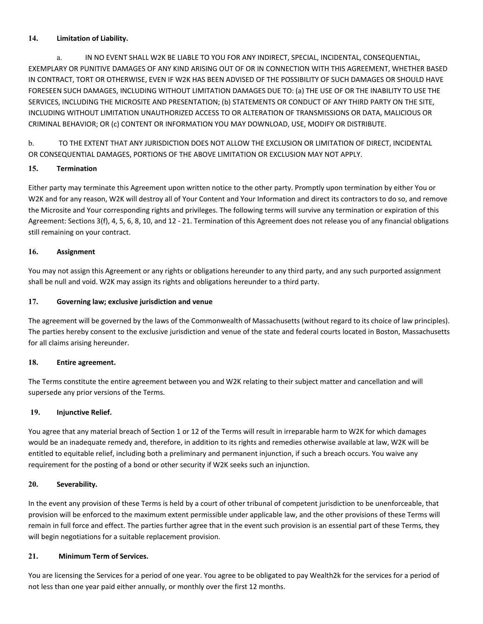# **14. Limitation of Liability.**

a. IN NO EVENT SHALL W2K BE LIABLE TO YOU FOR ANY INDIRECT, SPECIAL, INCIDENTAL, CONSEQUENTIAL, EXEMPLARY OR PUNITIVE DAMAGES OF ANY KIND ARISING OUT OF OR IN CONNECTION WITH THIS AGREEMENT, WHETHER BASED IN CONTRACT, TORT OR OTHERWISE, EVEN IF W2K HAS BEEN ADVISED OF THE POSSIBILITY OF SUCH DAMAGES OR SHOULD HAVE FORESEEN SUCH DAMAGES, INCLUDING WITHOUT LIMITATION DAMAGES DUE TO: (a) THE USE OF OR THE INABILITY TO USE THE SERVICES, INCLUDING THE MICROSITE AND PRESENTATION; (b) STATEMENTS OR CONDUCT OF ANY THIRD PARTY ON THE SITE, INCLUDING WITHOUT LIMITATION UNAUTHORIZED ACCESS TO OR ALTERATION OF TRANSMISSIONS OR DATA, MALICIOUS OR CRIMINAL BEHAVIOR; OR (c) CONTENT OR INFORMATION YOU MAY DOWNLOAD, USE, MODIFY OR DISTRIBUTE.

b. TO THE EXTENT THAT ANY JURISDICTION DOES NOT ALLOW THE EXCLUSION OR LIMITATION OF DIRECT, INCIDENTAL OR CONSEQUENTIAL DAMAGES, PORTIONS OF THE ABOVE LIMITATION OR EXCLUSION MAY NOT APPLY.

# **15. Termination**

Either party may terminate this Agreement upon written notice to the other party. Promptly upon termination by either You or W2K and for any reason, W2K will destroy all of Your Content and Your Information and direct its contractors to do so, and remove the Microsite and Your corresponding rights and privileges. The following terms will survive any termination or expiration of this Agreement: Sections 3(f), 4, 5, 6, 8, 10, and 12 - 21. Termination of this Agreement does not release you of any financial obligations still remaining on your contract.

# **16. Assignment**

You may not assign this Agreement or any rights or obligations hereunder to any third party, and any such purported assignment shall be null and void. W2K may assign its rights and obligations hereunder to a third party.

### **17. Governing law; exclusive jurisdiction and venue**

The agreement will be governed by the laws of the Commonwealth of Massachusetts (without regard to its choice of law principles). The parties hereby consent to the exclusive jurisdiction and venue of the state and federal courts located in Boston, Massachusetts for all claims arising hereunder.

### **18. Entire agreement.**

The Terms constitute the entire agreement between you and W2K relating to their subject matter and cancellation and will supersede any prior versions of the Terms.

# **19. Injunctive Relief.**

You agree that any material breach of Section 1 or 12 of the Terms will result in irreparable harm to W2K for which damages would be an inadequate remedy and, therefore, in addition to its rights and remedies otherwise available at law, W2K will be entitled to equitable relief, including both a preliminary and permanent injunction, if such a breach occurs. You waive any requirement for the posting of a bond or other security if W2K seeks such an injunction.

### **20. Severability.**

In the event any provision of these Terms is held by a court of other tribunal of competent jurisdiction to be unenforceable, that provision will be enforced to the maximum extent permissible under applicable law, and the other provisions of these Terms will remain in full force and effect. The parties further agree that in the event such provision is an essential part of these Terms, they will begin negotiations for a suitable replacement provision.

# **21. Minimum Term of Services.**

You are licensing the Services for a period of one year. You agree to be obligated to pay Wealth2k for the services for a period of not less than one year paid either annually, or monthly over the first 12 months.